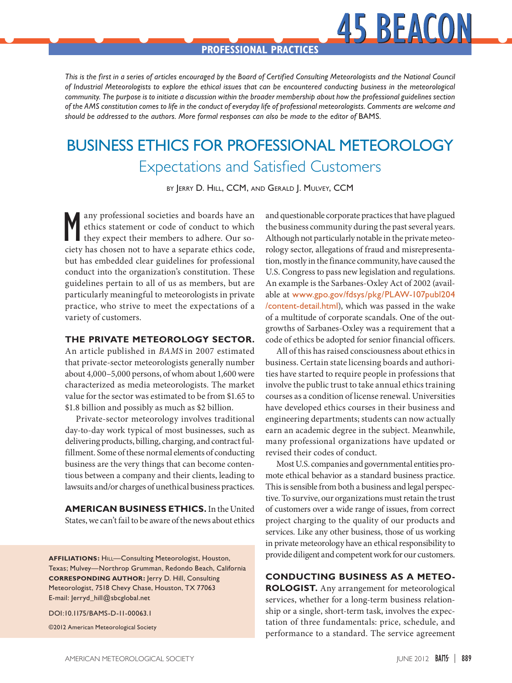## **Professional Practices**

*This is the first in a series of articles encouraged by the Board of Certified Consulting Meteorologists and the National Council of Industrial Meteorologists to explore the ethical issues that can be encountered conducting business in the meteorological community. The purpose is to initiate a discussion within the broader membership about how the professional guidelines section of the AMS constitution comes to life in the conduct of everyday life of professional meteorologists. Comments are welcome and should be addressed to the authors. More formal responses can also be made to the editor of* BAMS*.*

## Business Ethics for Professional Meteorology Expectations and Satisfied Customers

BY JERRY D. HILL, CCM, AND GERALD J. MULVEY, CCM

M any professional societies and boards have an ethics statement or code of conduct to which they expect their members to adhere. Our society has chosen not to have a separate ethics code, any professional societies and boards have an ethics statement or code of conduct to which they expect their members to adhere. Our sobut has embedded clear guidelines for professional conduct into the organization's constitution. These guidelines pertain to all of us as members, but are particularly meaningful to meteorologists in private practice, who strive to meet the expectations of a variety of customers.

### **The Private Meteorology Sector.**

An article published in *BAMS* in 2007 estimated that private-sector meteorologists generally number about 4,000–5,000 persons, of whom about 1,600 were characterized as media meteorologists. The market value for the sector was estimated to be from \$1.65 to \$1.8 billion and possibly as much as \$2 billion.

Private-sector meteorology involves traditional day-to-day work typical of most businesses, such as delivering products, billing, charging, and contract fulfillment. Some of these normal elements of conducting business are the very things that can become contentious between a company and their clients, leading to lawsuits and/or charges of unethical business practices.

**American Business Ethics.** In the United States, we can't fail to be aware of the news about ethics

**Affiliations:** Hill—Consulting Meteorologist, Houston, Texas; Mulvey—Northrop Grumman, Redondo Beach, California **Corresponding author:** Jerry D. Hill, Consulting Meteorologist, 7518 Chevy Chase, Houston, TX 77063 E-mail: [Jerryd\\_hill@sbcglobal.net](mailto:Jerryd_hill@sbcglobal.net)

DOI:10.1175/BAMS-D-11-00063.1

©2012 American Meteorological Society

and questionable corporate practices that have plagued the business community during the past several years. Although not particularly notable in the private meteorology sector, allegations of fraud and misrepresentation, mostly in the finance community, have caused the U.S. Congress to pass new legislation and regulations. An example is the Sarbanes-Oxley Act of 2002 (available at [www.gpo.gov/fdsys/pkg/PLAW-107publ204](www.gpo.gov/fdsys/pkg/PLAW-107publ204 /content-detail.html) [/content-detail.html](www.gpo.gov/fdsys/pkg/PLAW-107publ204 /content-detail.html)), which was passed in the wake of a multitude of corporate scandals. One of the outgrowths of Sarbanes-Oxley was a requirement that a code of ethics be adopted for senior financial officers.

**45 BEACON** 

All of this has raised consciousness about ethics in business. Certain state licensing boards and authorities have started to require people in professions that involve the public trust to take annual ethics training courses as a condition of license renewal. Universities have developed ethics courses in their business and engineering departments; students can now actually earn an academic degree in the subject. Meanwhile, many professional organizations have updated or revised their codes of conduct.

Most U.S. companies and governmental entities promote ethical behavior as a standard business practice. This is sensible from both a business and legal perspective. To survive, our organizations must retain the trust of customers over a wide range of issues, from correct project charging to the quality of our products and services. Like any other business, those of us working in private meteorology have an ethical responsibility to provide diligent and competent work for our customers.

### **Conducting Business as a Meteo-**

**ROLOGIST.** Any arrangement for meteorological services, whether for a long-term business relationship or a single, short-term task, involves the expectation of three fundamentals: price, schedule, and performance to a standard. The service agreement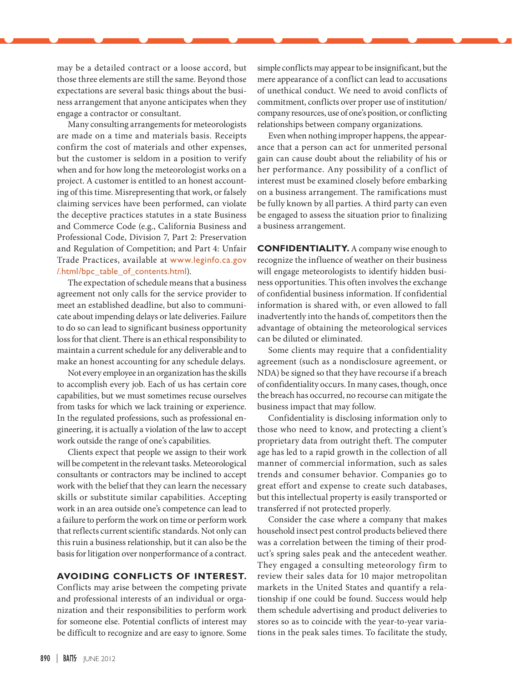may be a detailed contract or a loose accord, but those three elements are still the same. Beyond those expectations are several basic things about the business arrangement that anyone anticipates when they engage a contractor or consultant.

Many consulting arrangements for meteorologists are made on a time and materials basis. Receipts confirm the cost of materials and other expenses, but the customer is seldom in a position to verify when and for how long the meteorologist works on a project. A customer is entitled to an honest accounting of this time. Misrepresenting that work, or falsely claiming services have been performed, can violate the deceptive practices statutes in a state Business and Commerce Code (e.g., California Business and Professional Code, Division 7, Part 2: Preservation and Regulation of Competition; and Part 4: Unfair Trade Practices, available at [www.leginfo.ca.gov](www.leginfo.ca.gov/.html/bpc_table_of_contents.html) [/.html/bpc\\_table\\_of\\_contents.html](www.leginfo.ca.gov/.html/bpc_table_of_contents.html)).

The expectation of schedule means that a business agreement not only calls for the service provider to meet an established deadline, but also to communicate about impending delays or late deliveries. Failure to do so can lead to significant business opportunity loss for that client. There is an ethical responsibility to maintain a current schedule for any deliverable and to make an honest accounting for any schedule delays.

Not every employee in an organization has the skills to accomplish every job. Each of us has certain core capabilities, but we must sometimes recuse ourselves from tasks for which we lack training or experience. In the regulated professions, such as professional engineering, it is actually a violation of the law to accept work outside the range of one's capabilities.

Clients expect that people we assign to their work will be competent in the relevant tasks. Meteorological consultants or contractors may be inclined to accept work with the belief that they can learn the necessary skills or substitute similar capabilities. Accepting work in an area outside one's competence can lead to a failure to perform the work on time or perform work that reflects current scientific standards. Not only can this ruin a business relationship, but it can also be the basis for litigation over nonperformance of a contract.

#### **Avoiding Conflicts of Interest.**

Conflicts may arise between the competing private and professional interests of an individual or organization and their responsibilities to perform work for someone else. Potential conflicts of interest may be difficult to recognize and are easy to ignore. Some

simple conflicts may appear to be insignificant, but the mere appearance of a conflict can lead to accusations of unethical conduct. We need to avoid conflicts of commitment, conflicts over proper use of institution/ company resources, use of one's position, or conflicting relationships between company organizations.

Even when nothing improper happens, the appearance that a person can act for unmerited personal gain can cause doubt about the reliability of his or her performance. Any possibility of a conflict of interest must be examined closely before embarking on a business arrangement. The ramifications must be fully known by all parties. A third party can even be engaged to assess the situation prior to finalizing a business arrangement.

**CONFIDENTIALITY.** A company wise enough to recognize the influence of weather on their business will engage meteorologists to identify hidden business opportunities. This often involves the exchange of confidential business information. If confidential information is shared with, or even allowed to fall inadvertently into the hands of, competitors then the advantage of obtaining the meteorological services can be diluted or eliminated.

Some clients may require that a confidentiality agreement (such as a nondisclosure agreement, or NDA) be signed so that they have recourse if a breach of confidentiality occurs. In many cases, though, once the breach has occurred, no recourse can mitigate the business impact that may follow.

Confidentiality is disclosing information only to those who need to know, and protecting a client's proprietary data from outright theft. The computer age has led to a rapid growth in the collection of all manner of commercial information, such as sales trends and consumer behavior. Companies go to great effort and expense to create such databases, but this intellectual property is easily transported or transferred if not protected properly.

Consider the case where a company that makes household insect pest control products believed there was a correlation between the timing of their product's spring sales peak and the antecedent weather. They engaged a consulting meteorology firm to review their sales data for 10 major metropolitan markets in the United States and quantify a relationship if one could be found. Success would help them schedule advertising and product deliveries to stores so as to coincide with the year-to-year variations in the peak sales times. To facilitate the study,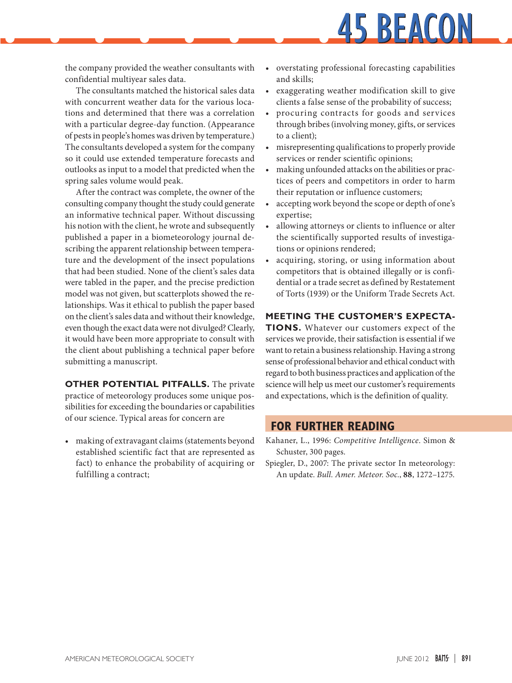the company provided the weather consultants with confidential multiyear sales data.

The consultants matched the historical sales data with concurrent weather data for the various locations and determined that there was a correlation with a particular degree-day function. (Appearance of pests in people's homes was driven by temperature.) The consultants developed a system for the company so it could use extended temperature forecasts and outlooks as input to a model that predicted when the spring sales volume would peak.

After the contract was complete, the owner of the consulting company thought the study could generate an informative technical paper. Without discussing his notion with the client, he wrote and subsequently published a paper in a biometeorology journal describing the apparent relationship between temperature and the development of the insect populations that had been studied. None of the client's sales data were tabled in the paper, and the precise prediction model was not given, but scatterplots showed the relationships. Was it ethical to publish the paper based on the client's sales data and without their knowledge, even though the exact data were not divulged? Clearly, it would have been more appropriate to consult with the client about publishing a technical paper before submitting a manuscript.

**OTHER POTENTIAL PITFALLS.** The private practice of meteorology produces some unique possibilities for exceeding the boundaries or capabilities of our science. Typical areas for concern are

• making of extravagant claims (statements beyond established scientific fact that are represented as fact) to enhance the probability of acquiring or fulfilling a contract;

- • overstating professional forecasting capabilities and skills;
- exaggerating weather modification skill to give clients a false sense of the probability of success;
- • procuring contracts for goods and services through bribes (involving money, gifts, or services to a client);
- misrepresenting qualifications to properly provide services or render scientific opinions;
- making unfounded attacks on the abilities or practices of peers and competitors in order to harm their reputation or influence customers;
- • accepting work beyond the scope or depth of one's expertise;
- allowing attorneys or clients to influence or alter the scientifically supported results of investigations or opinions rendered;
- • acquiring, storing, or using information about competitors that is obtained illegally or is confidential or a trade secret as defined by Restatement of Torts (1939) or the Uniform Trade Secrets Act.

### **Meeting the Customer's Expecta-**

**TIONS.** Whatever our customers expect of the services we provide, their satisfaction is essential if we want to retain a business relationship. Having a strong sense of professional behavior and ethical conduct with regard to both business practices and application of the science will help us meet our customer's requirements and expectations, which is the definition of quality.

## **For Further Reading**

- Kahaner, L., 1996: *Competitive Intelligence*. Simon & Schuster, 300 pages.
- Spiegler, D., 2007: The private sector In meteorology: An update. *Bull. Amer. Meteor. Soc.*, **88**, 1272–1275.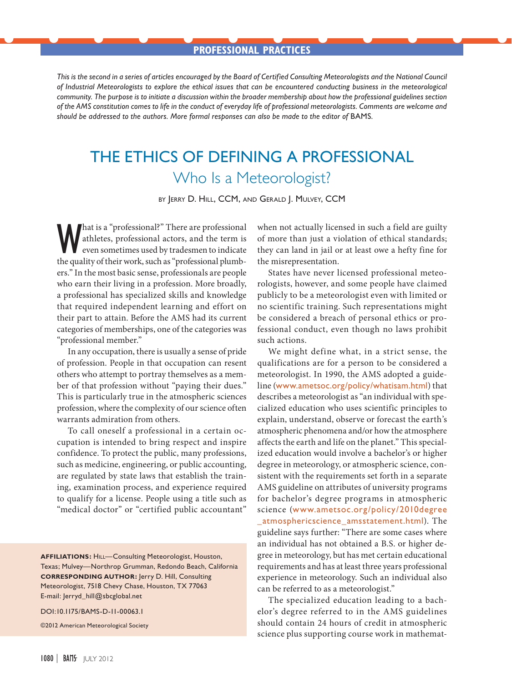## **PROFESSIONAL PRACTICES**

*This is the second in a series of articles encouraged by the Board of Certified Consulting Meteorologists and the National Council of Industrial Meteorologists to explore the ethical issues that can be encountered conducting business in the meteorological community. The purpose is to initiate a discussion within the broader membership about how the professional guidelines section of the AMS constitution comes to life in the conduct of everyday life of professional meteorologists. Comments are welcome and should be addressed to the authors. More formal responses can also be made to the editor of* BAMS*.*

## THE ETHICS OF DEFINING A PROFESSIONAL Who Is a Meteorologist?

BY JERRY D. HILL, CCM, AND GERALD J. MULVEY, CCM

hat is a "professional?" There are professional athletes, professional actors, and the term is even sometimes used by tradesmen to indicate the quality of their work, such as "professional plumbers." In the most basic sense, professionals are people who earn their living in a profession. More broadly, a professional has specialized skills and knowledge that required independent learning and effort on their part to attain. Before the AMS had its current categories of memberships, one of the categories was "professional member."

In any occupation, there is usually a sense of pride of profession. People in that occupation can resent others who attempt to portray themselves as a member of that profession without "paying their dues." This is particularly true in the atmospheric sciences profession, where the complexity of our science often warrants admiration from others.

To call oneself a professional in a certain occupation is intended to bring respect and inspire confidence. To protect the public, many professions, such as medicine, engineering, or public accounting, are regulated by state laws that establish the training, examination process, and experience required to qualify for a license. People using a title such as "medical doctor" or "certified public accountant"

**AFFILIATIONS:** Hill—Consulting Meteorologist, Houston, Texas; Mulvey—Northrop Grumman, Redondo Beach, California **CORRESPONDING AUTHOR:** Jerry D. Hill, Consulting Meteorologist, 7518 Chevy Chase, Houston, TX 77063 E-mail: [Jerryd\\_hill@sbcglobal.net](mailto:Jerryd_hill@sbcglobal.net)

DOI:10.1175/BAMS-D-11-00063.1

©2012 American Meteorological Society

when not actually licensed in such a field are guilty of more than just a violation of ethical standards; they can land in jail or at least owe a hefty fine for the misrepresentation.

States have never licensed professional meteorologists, however, and some people have claimed publicly to be a meteorologist even with limited or no scientific training. Such representations might be considered a breach of personal ethics or professional conduct, even though no laws prohibit such actions.

We might define what, in a strict sense, the qualifications are for a person to be considered a meteorologist. In 1990, the AMS adopted a guideline ([www.ametsoc.org/policy/whatisam.html](http://www.ametsoc.org/policy/whatisam.html)) that describes a meteorologist as "an individual with specialized education who uses scientific principles to explain, understand, observe or forecast the earth's atmospheric phenomena and/or how the atmosphere affects the earth and life on the planet." This specialized education would involve a bachelor's or higher degree in meteorology, or atmospheric science, consistent with the requirements set forth in a separate AMS guideline on attributes of university programs for bachelor's degree programs in atmospheric science ([www.ametsoc.org/policy/2010degree](http://www.ametsoc.org/policy/2010degree_atmosphericscience_amsstatement.html) [\\_atmosphericscience\\_amsstatement.html](http://www.ametsoc.org/policy/2010degree_atmosphericscience_amsstatement.html)). The guideline says further: "There are some cases where an individual has not obtained a B.S. or higher degree in meteorology, but has met certain educational requirements and has at least three years professional experience in meteorology. Such an individual also can be referred to as a meteorologist."

The specialized education leading to a bachelor's degree referred to in the AMS guidelines should contain 24 hours of credit in atmospheric science plus supporting course work in mathemat-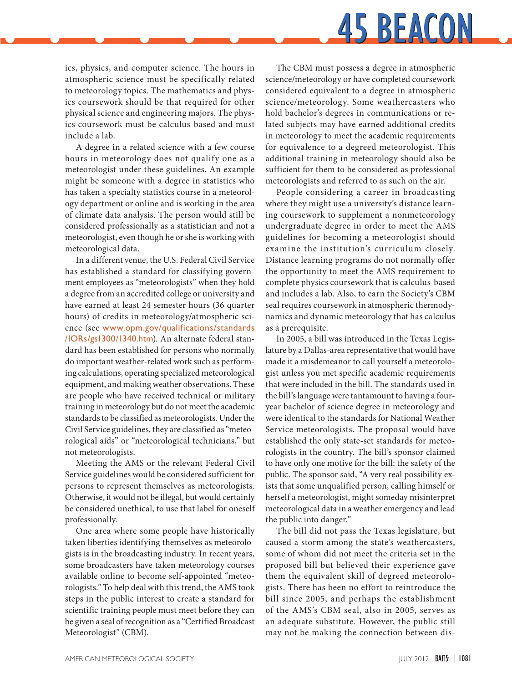ics, physics, and computer science. The hours in atmospheric science must be specifically related to meteorology topics. The mathematics and physics coursework should be that required for other physical science and engineering majors. The physics coursework must be calculus-based and must include a lab.

A degree in a related science with a few course hours in meteorology does not qualify one as a meteorologist under these guidelines. An example might be someone with a degree in statistics who has taken a specialty statistics course in a meteorology department or online and is working in the area of climate data analysis. The person would still be considered professionally as a statistician and not a meteorologist, even though he or she is working with meteorological data.

In a different venue, the U.S. Federal Civil Service has established a standard for classifying government employees as "meteorologists" when they hold a degree from an accredited college or university and have earned at least 24 semester hours (36 quarter hours) of credits in meteorology/atmospheric science (see [www.opm.gov/qualifications/standards](www.opm.gov/qualifications/standards/IORs/gs1300/1340.htm) [/IORs/gs1300/1340.htm](www.opm.gov/qualifications/standards/IORs/gs1300/1340.htm)). An alternate federal standard has been established for persons who normally do important weather-related work such as performing calculations, operating specialized meteorological equipment, and making weather observations. These are people who have received technical or military training in meteorology but do not meet the academic standards to be classified as meteorologists. Under the Civil Service guidelines, they are classified as "meteorological aids" or "meteorological technicians," but not meteorologists.

Meeting the AMS or the relevant Federal Civil Service guidelines would be considered sufficient for persons to represent themselves as meteorologists. Otherwise, it would not be illegal, but would certainly be considered unethical, to use that label for oneself professionally.

One area where some people have historically taken liberties identifying themselves as meteorologists is in the broadcasting industry. In recent years, some broadcasters have taken meteorology courses available online to become self-appointed "meteorologists." To help deal with this trend, the AMS took steps in the public interest to create a standard for scientific training people must meet before they can be given a seal of recognition as a "Certified Broadcast Meteorologist" (CBM).

The CBM must possess a degree in atmospheric science/meteorology or have completed coursework considered equivalent to a degree in atmospheric science/meteorology. Some weathercasters who hold bachelor's degrees in communications or related subjects may have earned additional credits in meteorology to meet the academic requirements for equivalence to a degreed meteorologist. This additional training in meteorology should also be sufficient for them to be considered as professional meteorologists and referred to as such on the air.

People considering a career in broadcasting where they might use a university's distance learning coursework to supplement a nonmeteorology undergraduate degree in order to meet the AMS guidelines for becoming a meteorologist should examine the institution's curriculum closely. Distance learning programs do not normally offer the opportunity to meet the AMS requirement to complete physics coursework that is calculus-based and includes a lab. Also, to earn the Society's CBM seal requires coursework in atmospheric thermodynamics and dynamic meteorology that has calculus as a prerequisite.

In 2005, a bill was introduced in the Texas Legislature by a Dallas-area representative that would have made it a misdemeanor to call yourself a meteorologist unless you met specific academic requirements that were included in the bill. The standards used in the bill's language were tantamount to having a fouryear bachelor of science degree in meteorology and were identical to the standards for National Weather Service meteorologists. The proposal would have established the only state-set standards for meteorologists in the country. The bill's sponsor claimed to have only one motive for the bill: the safety of the public. The sponsor said, "A very real possibility exists that some unqualified person, calling himself or herself a meteorologist, might someday misinterpret meteorological data in a weather emergency and lead the public into danger."

The bill did not pass the Texas legislature, but caused a storm among the state's weathercasters, some of whom did not meet the criteria set in the proposed bill but believed their experience gave them the equivalent skill of degreed meteorologists. There has been no effort to reintroduce the bill since 2005, and perhaps the establishment of the AMS's CBM seal, also in 2005, serves as an adequate substitute. However, the public still may not be making the connection between dis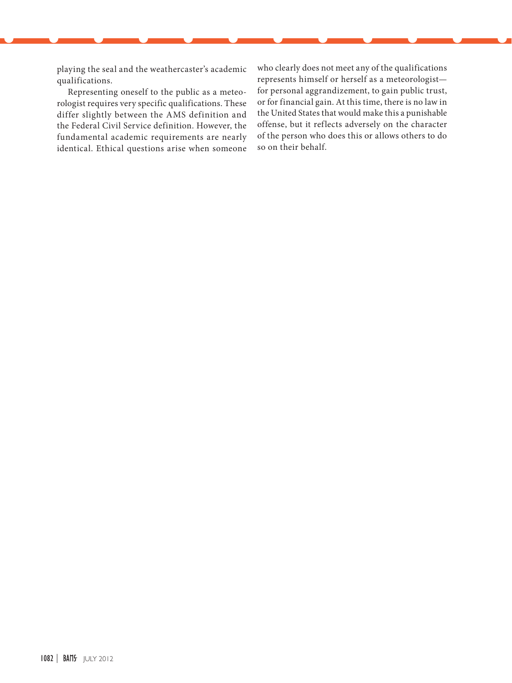playing the seal and the weathercaster's academic qualifications.

Representing oneself to the public as a meteorologist requires very specific qualifications. These differ slightly between the AMS definition and the Federal Civil Service definition. However, the fundamental academic requirements are nearly identical. Ethical questions arise when someone who clearly does not meet any of the qualifications represents himself or herself as a meteorologist for personal aggrandizement, to gain public trust, or for financial gain. At this time, there is no law in the United States that would make this a punishable offense, but it reflects adversely on the character of the person who does this or allows others to do so on their behalf.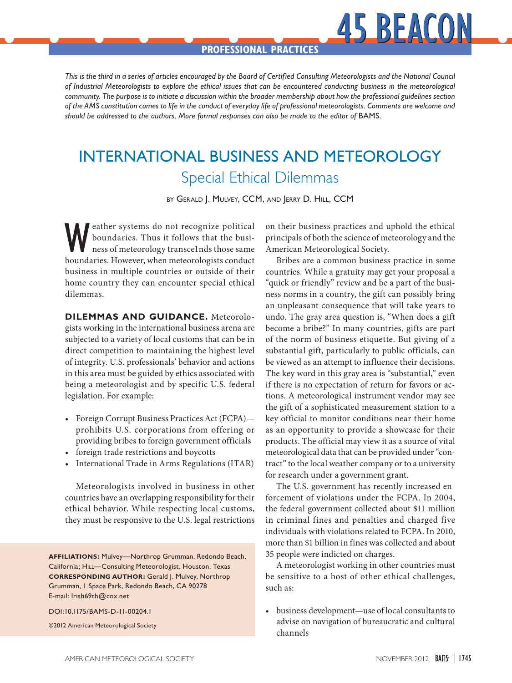## **Professional Practices**

*This is the third in a series of articles encouraged by the Board of Certified Consulting Meteorologists and the National Council of Industrial Meteorologists to explore the ethical issues that can be encountered conducting business in the meteorological community. The purpose is to initiate a discussion within the broader membership about how the professional guidelines section of the AMS constitution comes to life in the conduct of everyday life of professional meteorologists. Comments are welcome and should be addressed to the authors. More formal responses can also be made to the editor of* BAMS*.*

## International Business and Meteorology Special Ethical Dilemmas

by Gerald J. Mulvey, CCM, and Jerry D. Hill, CCM

eather systems do not recognize political boundaries. Thus it follows that the business of meteorology transce1nds those same boundaries. However, when meteorologists conduct business in multiple countries or outside of their home country they can encounter special ethical dilemmas.

**DILEMMAS AND GUIDANCE.** Meteorologists working in the international business arena are subjected to a variety of local customs that can be in direct competition to maintaining the highest level of integrity. U.S. professionals' behavior and actions in this area must be guided by ethics associated with being a meteorologist and by specific U.S. federal legislation. For example:

- Foreign Corrupt Business Practices Act (FCPA) prohibits U.S. corporations from offering or providing bribes to foreign government officials
- • foreign trade restrictions and boycotts
- • International Trade in Arms Regulations (ITAR)

Meteorologists involved in business in other countries have an overlapping responsibility for their ethical behavior. While respecting local customs, they must be responsive to the U.S. legal restrictions

**Affiliations:** Mulvey—Northrop Grumman, Redondo Beach, California; HILL-Consulting Meteorologist, Houston, Texas **Corresponding author:** Gerald J. Mulvey, Northrop Grumman, 1 Space Park, Redondo Beach, CA 90278 E-mail: Irish69th[@cox.net](mailto:Irish69th%40cox.net?subject=)

DOI:10.1175/BAMS-D-11-00204.1

©2012 American Meteorological Society

on their business practices and uphold the ethical principals of both the science of meteorology and the American Meteorological Society.

45 BEACON

Bribes are a common business practice in some countries. While a gratuity may get your proposal a "quick or friendly" review and be a part of the business norms in a country, the gift can possibly bring an unpleasant consequence that will take years to undo. The gray area question is, "When does a gift become a bribe?" In many countries, gifts are part of the norm of business etiquette. But giving of a substantial gift, particularly to public officials, can be viewed as an attempt to influence their decisions. The key word in this gray area is "substantial," even if there is no expectation of return for favors or actions. A meteorological instrument vendor may see the gift of a sophisticated measurement station to a key official to monitor conditions near their home as an opportunity to provide a showcase for their products. The official may view it as a source of vital meteorological data that can be provided under "contract" to the local weather company or to a university for research under a government grant.

The U.S. government has recently increased enforcement of violations under the FCPA. In 2004, the federal government collected about \$11 million in criminal fines and penalties and charged five individuals with violations related to FCPA. In 2010, more than \$1 billion in fines was collected and about 35 people were indicted on charges.

A meteorologist working in other countries must be sensitive to a host of other ethical challenges, such as:

• business development—use of local consultants to advise on navigation of bureaucratic and cultural channels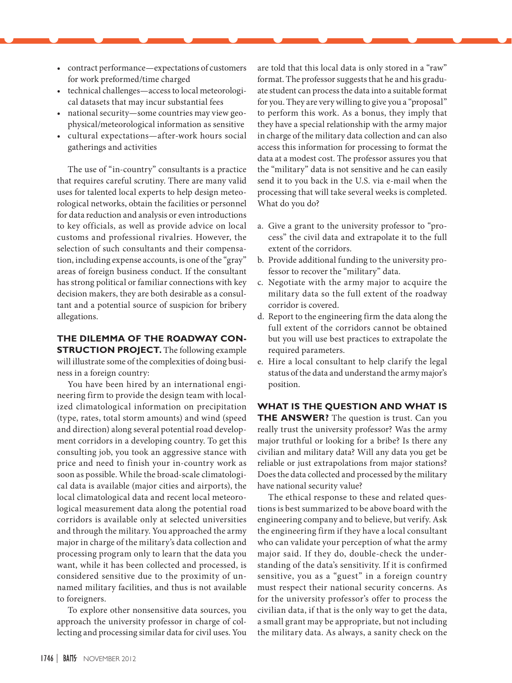- • contract performance—expectations of customers for work preformed/time charged
- • technical challenges—access to local meteorological datasets that may incur substantial fees
- national security—some countries may view geophysical/meteorological information as sensitive
- cultural expectations—after-work hours social gatherings and activities

The use of "in-country" consultants is a practice that requires careful scrutiny. There are many valid uses for talented local experts to help design meteorological networks, obtain the facilities or personnel for data reduction and analysis or even introductions to key officials, as well as provide advice on local customs and professional rivalries. However, the selection of such consultants and their compensation, including expense accounts, is one of the "gray" areas of foreign business conduct. If the consultant has strong political or familiar connections with key decision makers, they are both desirable as a consultant and a potential source of suspicion for bribery allegations.

### **THE DILEMMA OF THE ROADWAY CON-**

**STRUCTION PROJECT.** The following example will illustrate some of the complexities of doing business in a foreign country:

You have been hired by an international engineering firm to provide the design team with localized climatological information on precipitation (type, rates, total storm amounts) and wind (speed and direction) along several potential road development corridors in a developing country. To get this consulting job, you took an aggressive stance with price and need to finish your in-country work as soon as possible. While the broad-scale climatological data is available (major cities and airports), the local climatological data and recent local meteorological measurement data along the potential road corridors is available only at selected universities and through the military. You approached the army major in charge of the military's data collection and processing program only to learn that the data you want, while it has been collected and processed, is considered sensitive due to the proximity of unnamed military facilities, and thus is not available to foreigners.

To explore other nonsensitive data sources, you approach the university professor in charge of collecting and processing similar data for civil uses. You

are told that this local data is only stored in a "raw" format. The professor suggests that he and his graduate student can process the data into a suitable format for you. They are very willing to give you a "proposal" to perform this work. As a bonus, they imply that they have a special relationship with the army major in charge of the military data collection and can also access this information for processing to format the data at a modest cost. The professor assures you that the "military" data is not sensitive and he can easily send it to you back in the U.S. via e-mail when the processing that will take several weeks is completed. What do you do?

- a. Give a grant to the university professor to "process" the civil data and extrapolate it to the full extent of the corridors.
- b. Provide additional funding to the university professor to recover the "military" data.
- c. Negotiate with the army major to acquire the military data so the full extent of the roadway corridor is covered.
- d. Report to the engineering firm the data along the full extent of the corridors cannot be obtained but you will use best practices to extrapolate the required parameters.
- e. Hire a local consultant to help clarify the legal status of the data and understand the army major's position.

**WHAT IS THE QUESTION AND WHAT IS THE ANSWER?** The question is trust. Can you really trust the university professor? Was the army major truthful or looking for a bribe? Is there any civilian and military data? Will any data you get be reliable or just extrapolations from major stations? Does the data collected and processed by the military have national security value?

The ethical response to these and related questions is best summarized to be above board with the engineering company and to believe, but verify. Ask the engineering firm if they have a local consultant who can validate your perception of what the army major said. If they do, double-check the understanding of the data's sensitivity. If it is confirmed sensitive, you as a "guest" in a foreign country must respect their national security concerns. As for the university professor's offer to process the civilian data, if that is the only way to get the data, a small grant may be appropriate, but not including the military data. As always, a sanity check on the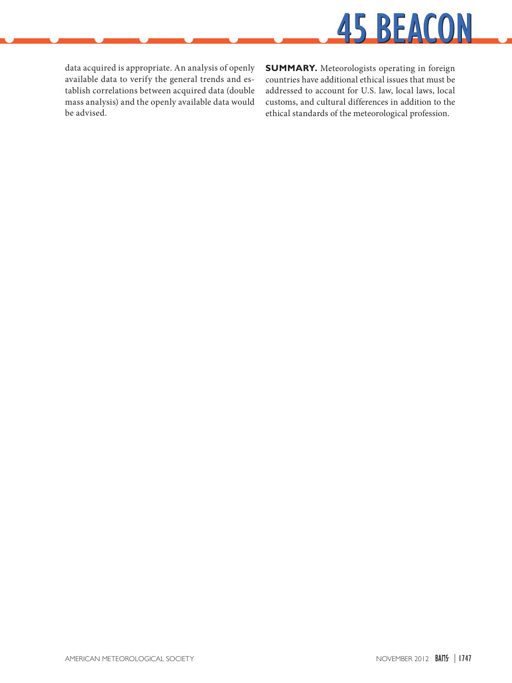data acquired is appropriate. An analysis of openly available data to verify the general trends and establish correlations between acquired data (double mass analysis) and the openly available data would be advised.

**SUMMARY.** Meteorologists operating in foreign countries have additional ethical issues that must be addressed to account for U.S. law, local laws, local customs, and cultural differences in addition to the ethical standards of the meteorological profession.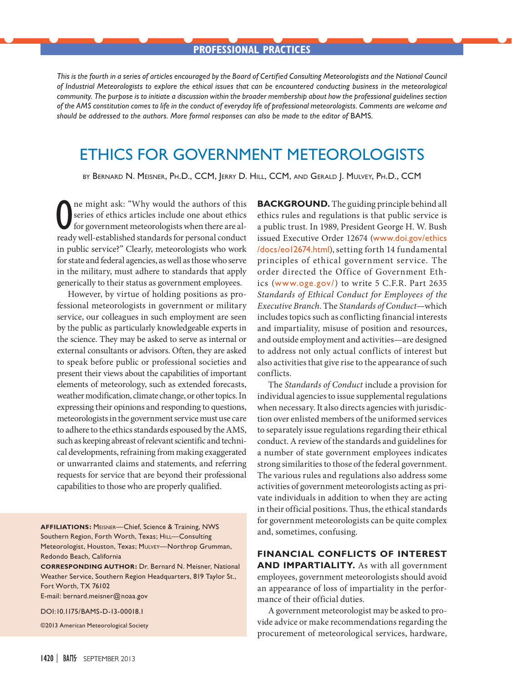## **PROFESSIONAL PRACTICES**

*This is the fourth in a series of articles encouraged by the Board of Certified Consulting Meteorologists and the National Council of Industrial Meteorologists to explore the ethical issues that can be encountered conducting business in the meteorological community. The purpose is to initiate a discussion within the broader membership about how the professional guidelines section of the AMS constitution comes to life in the conduct of everyday life of professional meteorologists. Comments are welcome and should be addressed to the authors. More formal responses can also be made to the editor of* BAMS*.*

## ETHICS FOR GOVERNMENT METEOROLOGISTS

by Bernard N. Meisner, Ph.D., CCM, Jerry D. Hill, CCM, and Gerald J. Mulvey, Ph.D., CCM

 $\begin{cases} \begin{array}{c} \text{ne might ask: ``Why would the authors of this series of ethics articles include one about ethics for government meteorologists when there are already well-established standards for personal conduct. \end{array} \end{cases}$ ne might ask: "Why would the authors of this series of ethics articles include one about ethics for government meteorologists when there are alin public service?" Clearly, meteorologists who work for state and federal agencies, as well as those who serve in the military, must adhere to standards that apply generically to their status as government employees.

However, by virtue of holding positions as professional meteorologists in government or military service, our colleagues in such employment are seen by the public as particularly knowledgeable experts in the science. They may be asked to serve as internal or external consultants or advisors. Often, they are asked to speak before public or professional societies and present their views about the capabilities of important elements of meteorology, such as extended forecasts, weather modification, climate change, or other topics. In expressing their opinions and responding to questions, meteorologists in the government service must use care to adhere to the ethics standards espoused by the AMS, such as keeping abreast of relevant scientific and technical developments, refraining from making exaggerated or unwarranted claims and statements, and referring requests for service that are beyond their professional capabilities to those who are properly qualified.

**AFFILIATIONS:** Meisner—Chief, Science & Training, NWS Southern Region, Forth Worth, Texas; HILL-Consulting Meteorologist, Houston, Texas; MULVEY-Northrop Grumman, Redondo Beach, California

**CORRESPONDING AUTHOR:** Dr. Bernard N. Meisner, National Weather Service, Southern Region Headquarters, 819 Taylor St., Fort Worth, TX 76102 E-mail: [bernard.meisner@noaa.gov](mailto:bernard.meisner%40noaa.gov?subject=)

DOI:10.1175/BAMS-D-13-00018.1

©2013 American Meteorological Society

**BACKGROUND.** The guiding principle behind all ethics rules and regulations is that public service is a public trust. In 1989, President George H. W. Bush issued Executive Order 12674 ([www.doi.gov/ethics](http://www.doi.gov/ethics
/docs/eo12674.html) [/docs/eo12674.html](http://www.doi.gov/ethics
/docs/eo12674.html)), setting forth 14 fundamental principles of ethical government service. The order directed the Office of Government Ethics ([www.oge.gov/](http://www.oge.gov/)) to write 5 C.F.R. Part 2635 *Standards of Ethical Conduct for Employees of the Executive Branch*. The *Standards of Conduct*—which includes topics such as conflicting financial interests and impartiality, misuse of position and resources, and outside employment and activities—are designed to address not only actual conflicts of interest but also activities that give rise to the appearance of such conflicts.

The *Standards of Conduct* include a provision for individual agencies to issue supplemental regulations when necessary. It also directs agencies with jurisdiction over enlisted members of the uniformed services to separately issue regulations regarding their ethical conduct. A review of the standards and guidelines for a number of state government employees indicates strong similarities to those of the federal government. The various rules and regulations also address some activities of government meteorologists acting as private individuals in addition to when they are acting in their official positions. Thus, the ethical standards for government meteorologists can be quite complex and, sometimes, confusing.

### **FINANCIAL CONFLICTS OF INTEREST AND IMPARTIALITY.** As with all government employees, government meteorologists should avoid an appearance of loss of impartiality in the performance of their official duties.

A government meteorologist may be asked to provide advice or make recommendations regarding the procurement of meteorological services, hardware,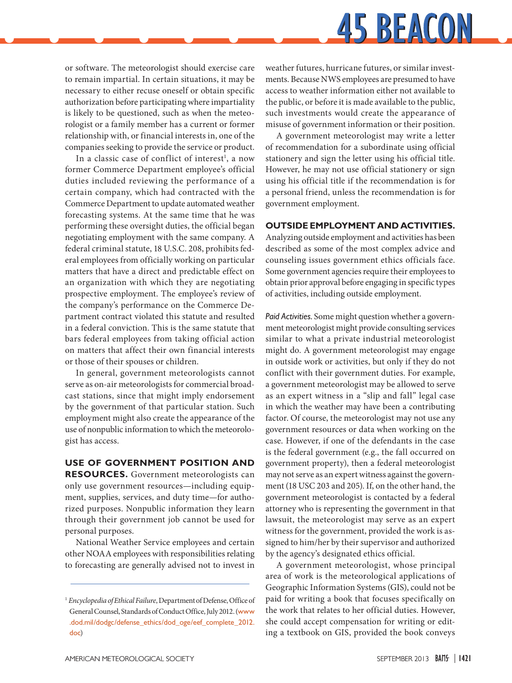or software. The meteorologist should exercise care to remain impartial. In certain situations, it may be necessary to either recuse oneself or obtain specific authorization before participating where impartiality is likely to be questioned, such as when the meteorologist or a family member has a current or former relationship with, or financial interests in, one of the companies seeking to provide the service or product.

In a classic case of conflict of interest<sup>1</sup>, a now former Commerce Department employee's official duties included reviewing the performance of a certain company, which had contracted with the Commerce Department to update automated weather forecasting systems. At the same time that he was performing these oversight duties, the official began negotiating employment with the same company. A federal criminal statute, 18 U.S.C. 208, prohibits federal employees from officially working on particular matters that have a direct and predictable effect on an organization with which they are negotiating prospective employment. The employee's review of the company's performance on the Commerce Department contract violated this statute and resulted in a federal conviction. This is the same statute that bars federal employees from taking official action on matters that affect their own financial interests or those of their spouses or children.

In general, government meteorologists cannot serve as on-air meteorologists for commercial broadcast stations, since that might imply endorsement by the government of that particular station. Such employment might also create the appearance of the use of nonpublic information to which the meteorologist has access.

### **USE OF GOVERNMENT POSITION AND**

**RESOURCES.** Government meteorologists can only use government resources—including equipment, supplies, services, and duty time—for authorized purposes. Nonpublic information they learn through their government job cannot be used for personal purposes.

National Weather Service employees and certain other NOAA employees with responsibilities relating to forecasting are generally advised not to invest in

weather futures, hurricane futures, or similar investments. Because NWS employees are presumed to have access to weather information either not available to the public, or before it is made available to the public, such investments would create the appearance of misuse of government information or their position.

A government meteorologist may write a letter of recommendation for a subordinate using official stationery and sign the letter using his official title. However, he may not use official stationery or sign using his official title if the recommendation is for a personal friend, unless the recommendation is for government employment.

### **OUTSIDE EMPLOYMENT AND ACTIVITIES.**

Analyzing outside employment and activities has been described as some of the most complex advice and counseling issues government ethics officials face. Some government agencies require their employees to obtain prior approval before engaging in specific types of activities, including outside employment.

*Paid Activities.* Some might question whether a government meteorologist might provide consulting services similar to what a private industrial meteorologist might do. A government meteorologist may engage in outside work or activities, but only if they do not conflict with their government duties. For example, a government meteorologist may be allowed to serve as an expert witness in a "slip and fall" legal case in which the weather may have been a contributing factor. Of course, the meteorologist may not use any government resources or data when working on the case. However, if one of the defendants in the case is the federal government (e.g., the fall occurred on government property), then a federal meteorologist may not serve as an expert witness against the government (18 USC 203 and 205). If, on the other hand, the government meteorologist is contacted by a federal attorney who is representing the government in that lawsuit, the meteorologist may serve as an expert witness for the government, provided the work is assigned to him/her by their supervisor and authorized by the agency's designated ethics official.

A government meteorologist, whose principal area of work is the meteorological applications of Geographic Information Systems (GIS), could not be paid for writing a book that focuses specifically on the work that relates to her official duties. However, she could accept compensation for writing or editing a textbook on GIS, provided the book conveys

<sup>1</sup> *Encyclopedia of Ethical Failure*, Department of Defense, Office of General Counsel, Standards of Conduct Office, July 2012. ([www](http://www.dod.mil/dodgc/defense_ethics/dod_oge/eef_complete_2012.doc) [.dod.mil/dodgc/defense\\_ethics/dod\\_oge/eef\\_complete\\_2012.](http://www.dod.mil/dodgc/defense_ethics/dod_oge/eef_complete_2012.doc) [doc](http://www.dod.mil/dodgc/defense_ethics/dod_oge/eef_complete_2012.doc))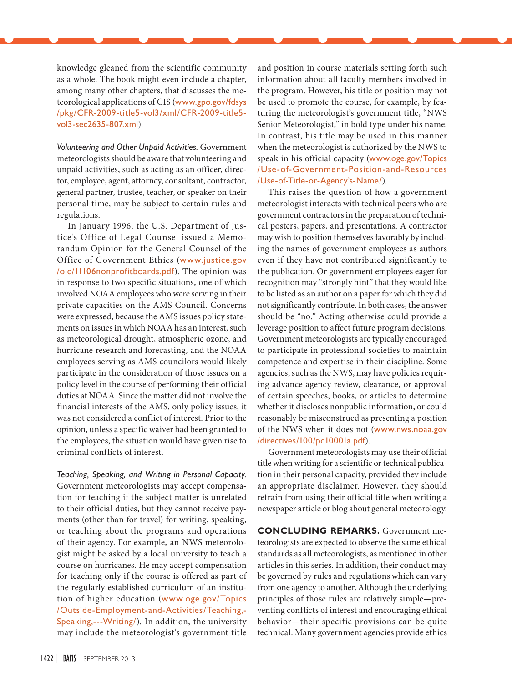knowledge gleaned from the scientific community as a whole. The book might even include a chapter, among many other chapters, that discusses the meteorological applications of GIS ([www.gpo.gov/fdsys](http://www.gpo.gov/fdsys
/pkg/CFR-2009-title5-vol3/xml/CFR-2009-title5-vol3-sec2635-807.xml) [/pkg/CFR-2009-title5-vol3/xml/CFR-2009-title5](http://www.gpo.gov/fdsys
/pkg/CFR-2009-title5-vol3/xml/CFR-2009-title5-vol3-sec2635-807.xml) [vol3-sec2635-807.xml](http://www.gpo.gov/fdsys
/pkg/CFR-2009-title5-vol3/xml/CFR-2009-title5-vol3-sec2635-807.xml)).

*Volunteering and Other Unpaid Activities.* Government meteorologists should be aware that volunteering and unpaid activities, such as acting as an officer, director, employee, agent, attorney, consultant, contractor, general partner, trustee, teacher, or speaker on their personal time, may be subject to certain rules and regulations.

In January 1996, the U.S. Department of Justice's Office of Legal Counsel issued a Memorandum Opinion for the General Counsel of the Office of Government Ethics ([www.justice.gov](http://www.justice.gov
/olc/11106nonprofitboards.pdf) [/olc/11106nonprofitboards.pdf](http://www.justice.gov
/olc/11106nonprofitboards.pdf)). The opinion was in response to two specific situations, one of which involved NOAA employees who were serving in their private capacities on the AMS Council. Concerns were expressed, because the AMS issues policy statements on issues in which NOAA has an interest, such as meteorological drought, atmospheric ozone, and hurricane research and forecasting, and the NOAA employees serving as AMS councilors would likely participate in the consideration of those issues on a policy level in the course of performing their official duties at NOAA. Since the matter did not involve the financial interests of the AMS, only policy issues, it was not considered a conflict of interest. Prior to the opinion, unless a specific waiver had been granted to the employees, the situation would have given rise to criminal conflicts of interest.

*Teaching, Speaking, and Writing in Personal Capacity.* Government meteorologists may accept compensation for teaching if the subject matter is unrelated to their official duties, but they cannot receive payments (other than for travel) for writing, speaking, or teaching about the programs and operations of their agency. For example, an NWS meteorologist might be asked by a local university to teach a course on hurricanes. He may accept compensation for teaching only if the course is offered as part of the regularly established curriculum of an institution of higher education ([www.oge.gov/Topics](http://www.oge.gov/Topics
/Outside-Employment-and-Activities/Teaching,-Speaking,---Writing/) [/Outside-Employment-and-Activities/Teaching,-](http://www.oge.gov/Topics
/Outside-Employment-and-Activities/Teaching,-Speaking,---Writing/) [Speaking,---Writing/](http://www.oge.gov/Topics
/Outside-Employment-and-Activities/Teaching,-Speaking,---Writing/)). In addition, the university may include the meteorologist's government title

and position in course materials setting forth such information about all faculty members involved in the program. However, his title or position may not be used to promote the course, for example, by featuring the meteorologist's government title, "NWS Senior Meteorologist," in bold type under his name. In contrast, his title may be used in this manner when the meteorologist is authorized by the NWS to speak in his official capacity ([www.oge.gov/Topics](http://www.oge.gov/Topics
/Use-of-Government-Position-and-Resources
/Use-of-Title-or-Agency�s-Name/) [/Use-of-Government-Position-and-Resources](http://www.oge.gov/Topics
/Use-of-Government-Position-and-Resources
/Use-of-Title-or-Agency�s-Name/) [/Use-of-Title-or-Agency's-Name/](http://www.oge.gov/Topics
/Use-of-Government-Position-and-Resources
/Use-of-Title-or-Agency�s-Name/)).

This raises the question of how a government meteorologist interacts with technical peers who are government contractors in the preparation of technical posters, papers, and presentations. A contractor may wish to position themselves favorably by including the names of government employees as authors even if they have not contributed significantly to the publication. Or government employees eager for recognition may "strongly hint" that they would like to be listed as an author on a paper for which they did not significantly contribute. In both cases, the answer should be "no." Acting otherwise could provide a leverage position to affect future program decisions. Government meteorologists are typically encouraged to participate in professional societies to maintain competence and expertise in their discipline. Some agencies, such as the NWS, may have policies requiring advance agency review, clearance, or approval of certain speeches, books, or articles to determine whether it discloses nonpublic information, or could reasonably be misconstrued as presenting a position of the NWS when it does not ([www.nws.noaa.gov](http://www.nws.noaa.gov
/directives/100/pd10001a.pdf) [/directives/100/pd10001a.pdf](http://www.nws.noaa.gov
/directives/100/pd10001a.pdf)).

Government meteorologists may use their official title when writing for a scientific or technical publication in their personal capacity, provided they include an appropriate disclaimer. However, they should refrain from using their official title when writing a newspaper article or blog about general meteorology.

**CONCLUDING REMARKS.** Government meteorologists are expected to observe the same ethical standards as all meteorologists, as mentioned in other articles in this series. In addition, their conduct may be governed by rules and regulations which can vary from one agency to another. Although the underlying principles of those rules are relatively simple—preventing conflicts of interest and encouraging ethical behavior—their specific provisions can be quite technical. Many government agencies provide ethics